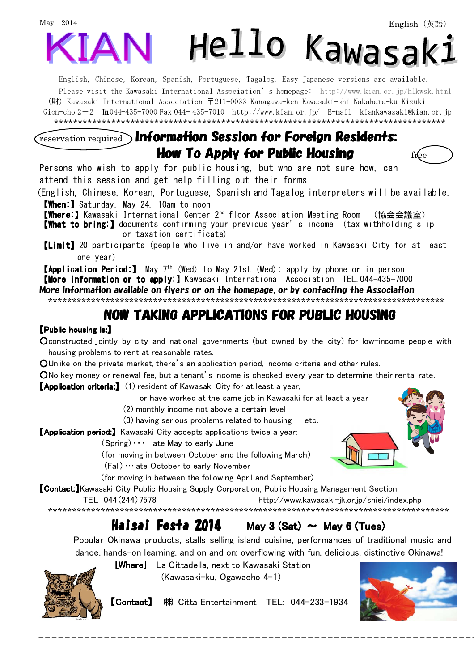# May 2014 Hello Kawasak:

English, Chinese, Korean, Spanish, Portuguese, Tagalog, Easy Japanese versions are available. Please visit the Kawasaki International Association's homepage: [http://www.kian.or.jp/hlkwsk.html](http://www.kian.or.jp/hlkwsk.shtml) (財) Kawasaki International Association 〒211-0033 Kanagawa-ken Kawasaki-shi Nakahara-ku Kizuki Gion-cho 2-2 ℡044-435-7000 Fax 044- 435-7010 <http://www.kian.or.jp/> [E-mail:kiankawasaki@kian.or.jp](mailto:kiankawasaki@kian.or.jp) \*\*\*\*\*\*\*\*\*\*\*\*\*\*\*\*\*\*\*\*\*\*\*\*\*\*\*\*\*\*\*\*\*\*\*\*\*\*\*\*\*\*\*\*\*\*\*\*\*\*\*\*\*\*\*\*\*\*\*\*\*\*\*\*\*\*\*\*\*\*\*\*\*\*\*\*\*\*\*\*\*\*

### reservation required Information Session for Foreign Residents: How To Apply for Public Housing  $f_0$  and  $f_0$

Persons who wish to apply for public housing, but who are not sure how, can attend this session and get help filling out their forms.

(English, Chinese, Korean, Portuguese, Spanish and Tagalog interpreters will be available. 【When:】Saturday, May 24, 10am to noon

【Where: 【Where:】Kawasaki International Center 2nd floor Association Meeting Room (協会会議室)

【What to bring:】documents confirming your previous year's income (tax withholding slip or taxation certificate)

【Limit】20 participants (people who live in and/or have worked in Kawasaki City for at least one year)

**【Application Period:】** May 7<sup>th</sup> (Wed) to May 21st (Wed): apply by phone or in person 【More information or to apply: 【More information or to apply:】Kawasaki International Association TEL.044-435-7000 More information available on flyers or on the homepage, or by contacting the Association

\*\*\*\*\*\*\*\*\*\*\*\*\*\*\*\*\*\*\*\*\*\*\*\*\*\*\*\*\*\*\*\*\*\*\*\*\*\*\*\*\*\*\*\*\*\*\*\*\*\*\*\*\*\*\*\*\*\*\*\*\*\*\*\*\*\*\*\*\*\*\*\*\*\*\*\*\*\*\*\*\*\*\*

## NOW TAKING APPLICATIONS FOR PUBLIC HOUSING

#### 【Public housing is: Public is:】

Oconstructed jointly by city and national governments (but owned by the city) for low-income people with housing problems to rent at reasonable rates.

OUnlike on the private market, there's an application period, income criteria and other rules.

ONo key money or renewal fee, but a tenant's income is checked every year to determine their rental rate.

**【Application criteria:】** (1) resident of Kawasaki City for at least a year,

or have worked at the same job in Kawasaki for at least a year

(2) monthly income not above a certain level

(3) having serious problems related to housing etc.

**【Application period:】 Kawasaki City accepts applications twice a year:** 

(Spring)・・・ late May to early June

(for moving in between October and the following March)

(Fall) …late October to early November

(for moving in between the following April and September)

**【Contact:**】Kawasaki City Public Housing Supply Corporation, Public Housing Management Section

TEL 044(244)7578 <http://www.kawasaki-jk.or.jp/shiei/index.php>

\*\*\*\*\*\*\*\*\*\*\*\*\*\*\*\*\*\*\*\*\*\*\*\*\*\*\*\*\*\*\*\*\*\*\*\*\*\*\*\*\*\*\*\*\*\*\*\*\*\*\*\*\*\*\*\*\*\*\*\*\*\*\*\*\*\*\*\*\*\*\*\*\*\*\*\*\*\*\*\*\*\*\*\*

### **Haisai Festa 2014** May 3 (Sat)  $\sim$  May 6 (Tues)

Popular Okinawa products, stalls selling island cuisine, performances of traditional music and dance, hands-on learning, and on and on: overflowing with fun, delicious, distinctive Okinawa!



 $\overline{\phantom{a}}$ 

[Where] La Cittadella, next to Kawasaki Station (Kawasaki-ku, Ogawacho 4-1)

【Contact】 ㈱ Citta Entertainment TEL: 044-233-1934